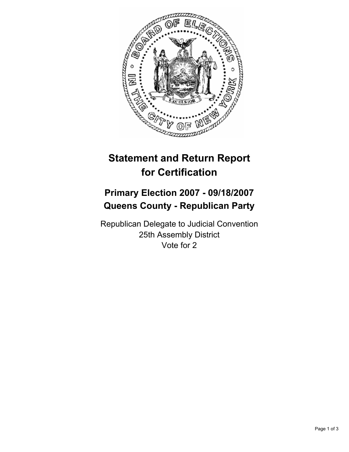

## **Statement and Return Report for Certification**

## **Primary Election 2007 - 09/18/2007 Queens County - Republican Party**

Republican Delegate to Judicial Convention 25th Assembly District Vote for 2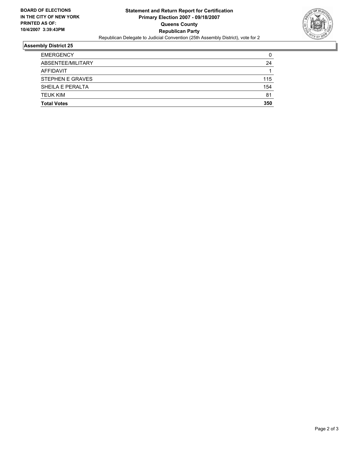

## **Assembly District 25**

| <b>EMERGENCY</b>        |     |
|-------------------------|-----|
| ABSENTEE/MILITARY       | 24  |
| AFFIDAVIT               |     |
| <b>STEPHEN E GRAVES</b> | 115 |
| SHEILA E PERALTA        | 154 |
| <b>TEUK KIM</b>         | 81  |
| <b>Total Votes</b>      | 350 |